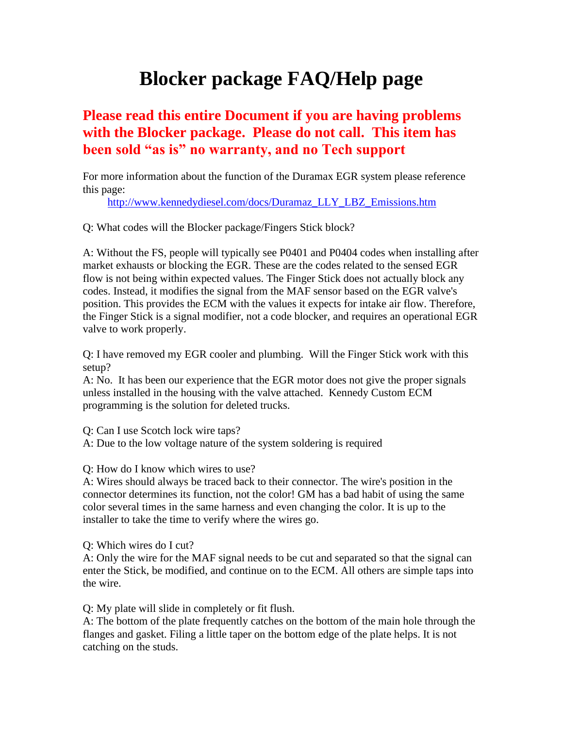# **Blocker package FAQ/Help page**

## **Please read this entire Document if you are having problems with the Blocker package. Please do not call. This item has been sold "as is" no warranty, and no Tech support**

For more information about the function of the Duramax EGR system please reference this page:

[http://www.kennedydiesel.com/docs/Duramaz\\_LLY\\_LBZ\\_Emissions.htm](http://www.kennedydiesel.com/docs/Duramaz_LLY_LBZ_Emissions.htm)

Q: What codes will the Blocker package/Fingers Stick block?

A: Without the FS, people will typically see P0401 and P0404 codes when installing after market exhausts or blocking the EGR. These are the codes related to the sensed EGR flow is not being within expected values. The Finger Stick does not actually block any codes. Instead, it modifies the signal from the MAF sensor based on the EGR valve's position. This provides the ECM with the values it expects for intake air flow. Therefore, the Finger Stick is a signal modifier, not a code blocker, and requires an operational EGR valve to work properly.

Q: I have removed my EGR cooler and plumbing. Will the Finger Stick work with this setup?

A: No. It has been our experience that the EGR motor does not give the proper signals unless installed in the housing with the valve attached. Kennedy Custom ECM programming is the solution for deleted trucks.

Q: Can I use Scotch lock wire taps?

A: Due to the low voltage nature of the system soldering is required

Q: How do I know which wires to use?

A: Wires should always be traced back to their connector. The wire's position in the connector determines its function, not the color! GM has a bad habit of using the same color several times in the same harness and even changing the color. It is up to the installer to take the time to verify where the wires go.

Q: Which wires do I cut?

A: Only the wire for the MAF signal needs to be cut and separated so that the signal can enter the Stick, be modified, and continue on to the ECM. All others are simple taps into the wire.

Q: My plate will slide in completely or fit flush.

A: The bottom of the plate frequently catches on the bottom of the main hole through the flanges and gasket. Filing a little taper on the bottom edge of the plate helps. It is not catching on the studs.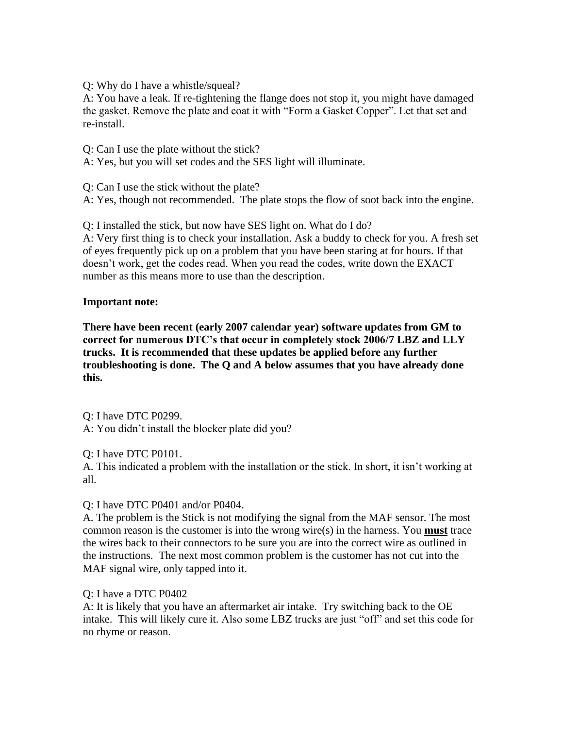Q: Why do I have a whistle/squeal?

A: You have a leak. If re-tightening the flange does not stop it, you might have damaged the gasket. Remove the plate and coat it with "Form a Gasket Copper". Let that set and re-install.

Q: Can I use the plate without the stick?

A: Yes, but you will set codes and the SES light will illuminate.

Q: Can I use the stick without the plate?

A: Yes, though not recommended. The plate stops the flow of soot back into the engine.

Q: I installed the stick, but now have SES light on. What do I do?

A: Very first thing is to check your installation. Ask a buddy to check for you. A fresh set of eyes frequently pick up on a problem that you have been staring at for hours. If that doesn't work, get the codes read. When you read the codes, write down the EXACT number as this means more to use than the description.

#### **Important note:**

**There have been recent (early 2007 calendar year) software updates from GM to correct for numerous DTC's that occur in completely stock 2006/7 LBZ and LLY trucks. It is recommended that these updates be applied before any further troubleshooting is done. The Q and A below assumes that you have already done this.**

Q: I have DTC P0299. A: You didn't install the blocker plate did you?

Q: I have DTC P0101.

A. This indicated a problem with the installation or the stick. In short, it isn't working at all.

Q: I have DTC P0401 and/or P0404.

A. The problem is the Stick is not modifying the signal from the MAF sensor. The most common reason is the customer is into the wrong wire(s) in the harness. You **must** trace the wires back to their connectors to be sure you are into the correct wire as outlined in the instructions. The next most common problem is the customer has not cut into the MAF signal wire, only tapped into it.

#### Q: I have a DTC P0402

A: It is likely that you have an aftermarket air intake. Try switching back to the OE intake. This will likely cure it. Also some LBZ trucks are just "off" and set this code for no rhyme or reason.